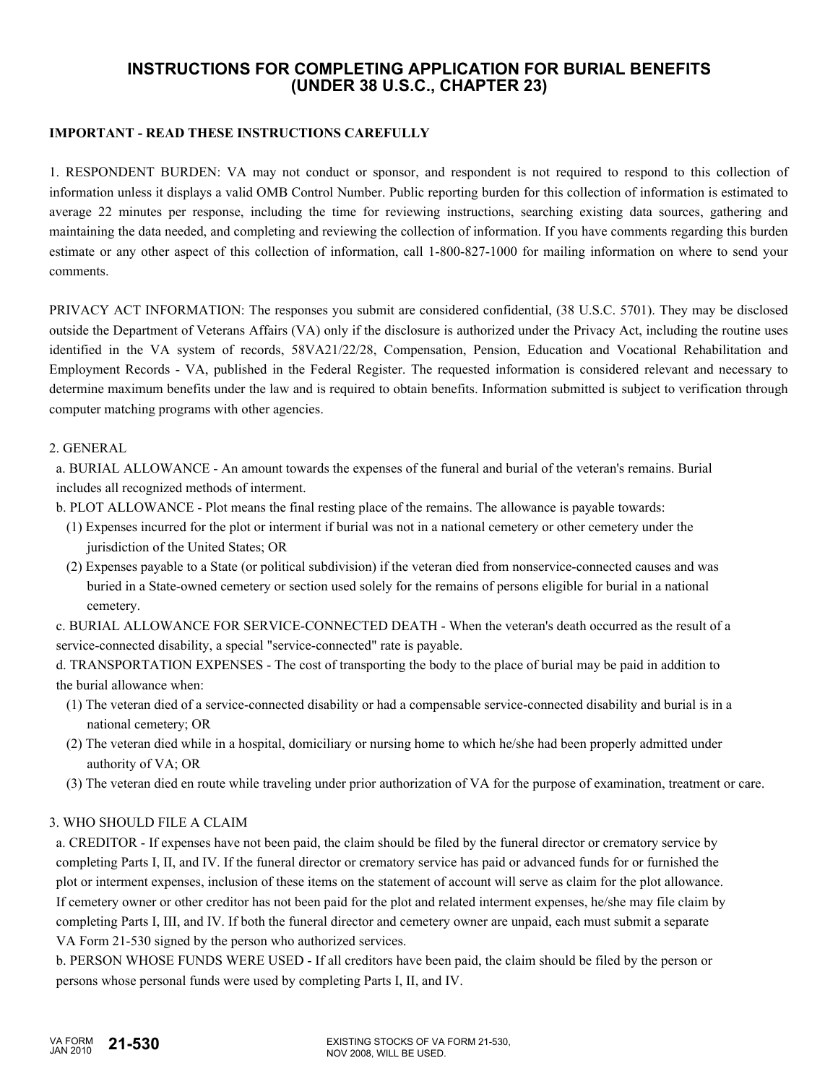# **INSTRUCTIONS FOR COMPLETING APPLICATION FOR BURIAL BENEFITS (UNDER 38 U.S.C., CHAPTER 23)**

### **IMPORTANT - READ THESE INSTRUCTIONS CAREFULLY**

1. RESPONDENT BURDEN: VA may not conduct or sponsor, and respondent is not required to respond to this collection of information unless it displays a valid OMB Control Number. Public reporting burden for this collection of information is estimated to average 22 minutes per response, including the time for reviewing instructions, searching existing data sources, gathering and maintaining the data needed, and completing and reviewing the collection of information. If you have comments regarding this burden estimate or any other aspect of this collection of information, call 1-800-827-1000 for mailing information on where to send your comments.

PRIVACY ACT INFORMATION: The responses you submit are considered confidential, (38 U.S.C. 5701). They may be disclosed outside the Department of Veterans Affairs (VA) only if the disclosure is authorized under the Privacy Act, including the routine uses identified in the VA system of records, 58VA21/22/28, Compensation, Pension, Education and Vocational Rehabilitation and Employment Records - VA, published in the Federal Register. The requested information is considered relevant and necessary to determine maximum benefits under the law and is required to obtain benefits. Information submitted is subject to verification through computer matching programs with other agencies.

#### 2. GENERAL

 a. BURIAL ALLOWANCE - An amount towards the expenses of the funeral and burial of the veteran's remains. Burial includes all recognized methods of interment.

- b. PLOT ALLOWANCE Plot means the final resting place of the remains. The allowance is payable towards:
	- (1) Expenses incurred for the plot or interment if burial was not in a national cemetery or other cemetery under the jurisdiction of the United States; OR
	- (2) Expenses payable to a State (or political subdivision) if the veteran died from nonservice-connected causes and was buried in a State-owned cemetery or section used solely for the remains of persons eligible for burial in a national cemetery.

 c. BURIAL ALLOWANCE FOR SERVICE-CONNECTED DEATH - When the veteran's death occurred as the result of a service-connected disability, a special "service-connected" rate is payable.

 d. TRANSPORTATION EXPENSES - The cost of transporting the body to the place of burial may be paid in addition to the burial allowance when:

- (1) The veteran died of a service-connected disability or had a compensable service-connected disability and burial is in a national cemetery; OR
- (2) The veteran died while in a hospital, domiciliary or nursing home to which he/she had been properly admitted under authority of VA; OR
- (3) The veteran died en route while traveling under prior authorization of VA for the purpose of examination, treatment or care.

#### 3. WHO SHOULD FILE A CLAIM

 a. CREDITOR - If expenses have not been paid, the claim should be filed by the funeral director or crematory service by completing Parts I, II, and IV. If the funeral director or crematory service has paid or advanced funds for or furnished the plot or interment expenses, inclusion of these items on the statement of account will serve as claim for the plot allowance. If cemetery owner or other creditor has not been paid for the plot and related interment expenses, he/she may file claim by completing Parts I, III, and IV. If both the funeral director and cemetery owner are unpaid, each must submit a separate VA Form 21-530 signed by the person who authorized services.

 b. PERSON WHOSE FUNDS WERE USED - If all creditors have been paid, the claim should be filed by the person or persons whose personal funds were used by completing Parts I, II, and IV.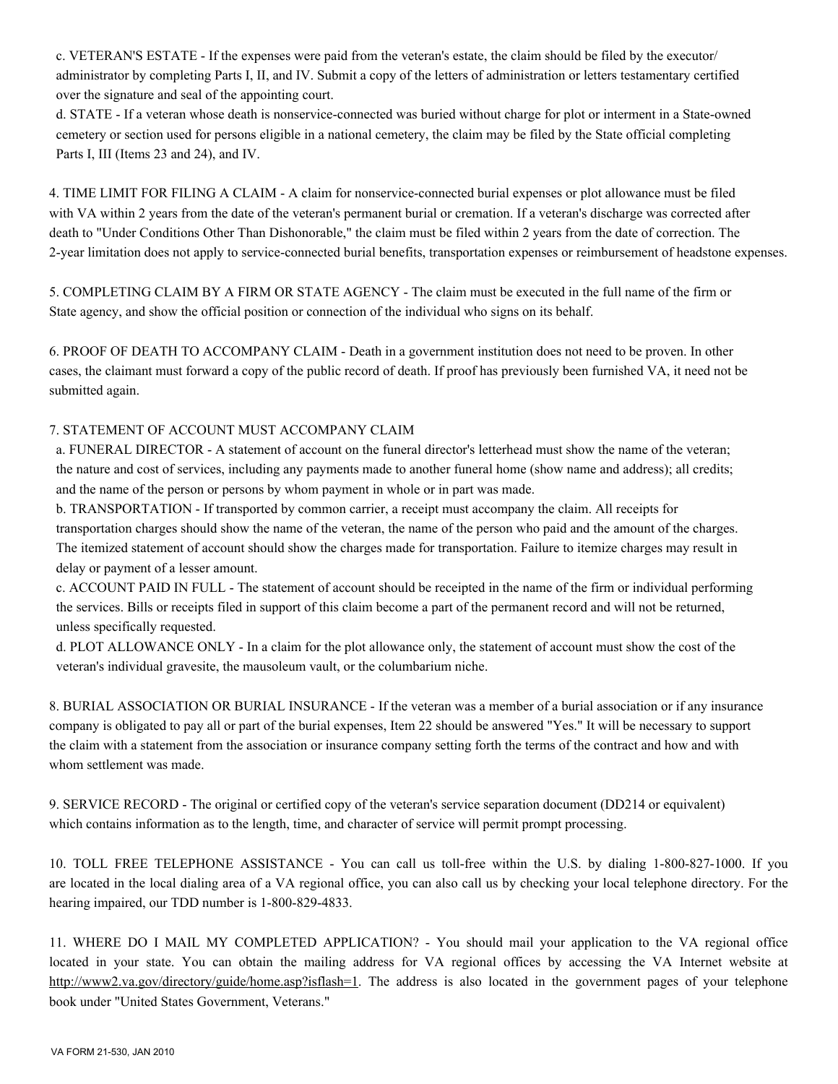c. VETERAN'S ESTATE - If the expenses were paid from the veteran's estate, the claim should be filed by the executor/ administrator by completing Parts I, II, and IV. Submit a copy of the letters of administration or letters testamentary certified over the signature and seal of the appointing court.

 d. STATE - If a veteran whose death is nonservice-connected was buried without charge for plot or interment in a State-owned cemetery or section used for persons eligible in a national cemetery, the claim may be filed by the State official completing Parts I, III (Items 23 and 24), and IV.

4. TIME LIMIT FOR FILING A CLAIM - A claim for nonservice-connected burial expenses or plot allowance must be filed with VA within 2 years from the date of the veteran's permanent burial or cremation. If a veteran's discharge was corrected after death to "Under Conditions Other Than Dishonorable," the claim must be filed within 2 years from the date of correction. The 2-year limitation does not apply to service-connected burial benefits, transportation expenses or reimbursement of headstone expenses.

5. COMPLETING CLAIM BY A FIRM OR STATE AGENCY - The claim must be executed in the full name of the firm or State agency, and show the official position or connection of the individual who signs on its behalf.

6. PROOF OF DEATH TO ACCOMPANY CLAIM - Death in a government institution does not need to be proven. In other cases, the claimant must forward a copy of the public record of death. If proof has previously been furnished VA, it need not be submitted again.

## 7. STATEMENT OF ACCOUNT MUST ACCOMPANY CLAIM

 a. FUNERAL DIRECTOR - A statement of account on the funeral director's letterhead must show the name of the veteran; the nature and cost of services, including any payments made to another funeral home (show name and address); all credits; and the name of the person or persons by whom payment in whole or in part was made.

 b. TRANSPORTATION - If transported by common carrier, a receipt must accompany the claim. All receipts for transportation charges should show the name of the veteran, the name of the person who paid and the amount of the charges. The itemized statement of account should show the charges made for transportation. Failure to itemize charges may result in delay or payment of a lesser amount.

 c. ACCOUNT PAID IN FULL - The statement of account should be receipted in the name of the firm or individual performing the services. Bills or receipts filed in support of this claim become a part of the permanent record and will not be returned, unless specifically requested.

 d. PLOT ALLOWANCE ONLY - In a claim for the plot allowance only, the statement of account must show the cost of the veteran's individual gravesite, the mausoleum vault, or the columbarium niche.

8. BURIAL ASSOCIATION OR BURIAL INSURANCE - If the veteran was a member of a burial association or if any insurance company is obligated to pay all or part of the burial expenses, Item 22 should be answered "Yes." It will be necessary to support the claim with a statement from the association or insurance company setting forth the terms of the contract and how and with whom settlement was made.

9. SERVICE RECORD - The original or certified copy of the veteran's service separation document (DD214 or equivalent) which contains information as to the length, time, and character of service will permit prompt processing.

10. TOLL FREE TELEPHONE ASSISTANCE - You can call us toll-free within the U.S. by dialing 1-800-827-1000. If you are located in the local dialing area of a VA regional office, you can also call us by checking your local telephone directory. For the hearing impaired, our TDD number is 1-800-829-4833.

11. WHERE DO I MAIL MY COMPLETED APPLICATION? - You should mail your application to the VA regional office located in your state. You can obtain the mailing address for VA regional offices by accessing the VA Internet website at http://www2.va.gov/directory/guide/home.asp?isflash=1. The address is also located in the government pages of your telephone book under "United States Government, Veterans."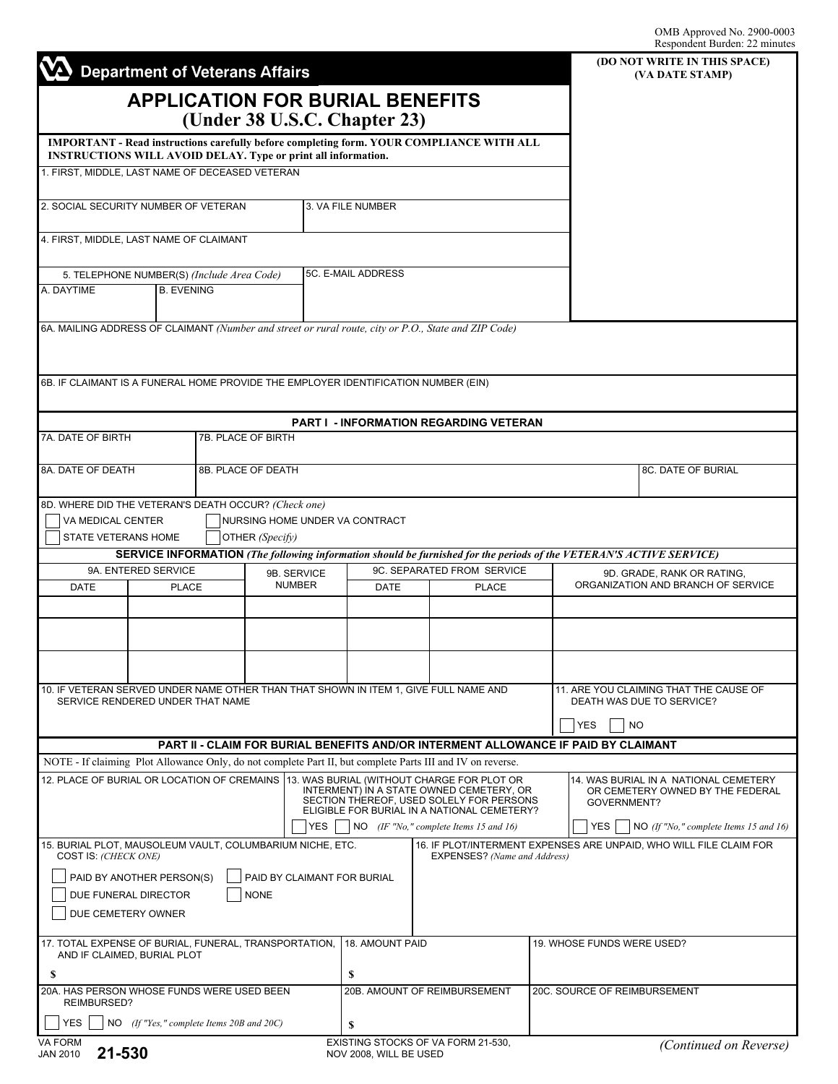|                                                                                                                                                                         | <b>Department of Veterans Affairs</b>     |                                                   |                              |                                                                                                                                     |                                                                                                                     |                            |                                                                                          | (DO NOT WRITE IN THIS SPACE)<br>(VA DATE STAMP) |
|-------------------------------------------------------------------------------------------------------------------------------------------------------------------------|-------------------------------------------|---------------------------------------------------|------------------------------|-------------------------------------------------------------------------------------------------------------------------------------|---------------------------------------------------------------------------------------------------------------------|----------------------------|------------------------------------------------------------------------------------------|-------------------------------------------------|
|                                                                                                                                                                         | <b>APPLICATION FOR BURIAL BENEFITS</b>    |                                                   |                              |                                                                                                                                     |                                                                                                                     |                            |                                                                                          |                                                 |
|                                                                                                                                                                         |                                           | (Under 38 U.S.C. Chapter 23)                      |                              |                                                                                                                                     |                                                                                                                     |                            |                                                                                          |                                                 |
| <b>IMPORTANT - Read instructions carefully before completing form, YOUR COMPLIANCE WITH ALL</b><br><b>INSTRUCTIONS WILL AVOID DELAY. Type or print all information.</b> |                                           |                                                   |                              |                                                                                                                                     |                                                                                                                     |                            |                                                                                          |                                                 |
| 1. FIRST, MIDDLE, LAST NAME OF DECEASED VETERAN                                                                                                                         |                                           |                                                   |                              |                                                                                                                                     |                                                                                                                     |                            |                                                                                          |                                                 |
|                                                                                                                                                                         |                                           |                                                   |                              |                                                                                                                                     |                                                                                                                     |                            |                                                                                          |                                                 |
| 2. SOCIAL SECURITY NUMBER OF VETERAN                                                                                                                                    |                                           |                                                   |                              | 3. VA FILE NUMBER                                                                                                                   |                                                                                                                     |                            |                                                                                          |                                                 |
| 4. FIRST, MIDDLE, LAST NAME OF CLAIMANT                                                                                                                                 |                                           |                                                   |                              |                                                                                                                                     |                                                                                                                     |                            |                                                                                          |                                                 |
| 5. TELEPHONE NUMBER(S) (Include Area Code)                                                                                                                              |                                           |                                                   |                              | 5C. E-MAIL ADDRESS                                                                                                                  |                                                                                                                     |                            |                                                                                          |                                                 |
| A. DAYTIME<br><b>B. EVENING</b>                                                                                                                                         |                                           |                                                   |                              |                                                                                                                                     |                                                                                                                     |                            |                                                                                          |                                                 |
|                                                                                                                                                                         |                                           |                                                   |                              |                                                                                                                                     | 6A. MAILING ADDRESS OF CLAIMANT (Number and street or rural route, city or P.O., State and ZIP Code)                |                            |                                                                                          |                                                 |
|                                                                                                                                                                         |                                           |                                                   |                              |                                                                                                                                     |                                                                                                                     |                            |                                                                                          |                                                 |
| 6B. IF CLAIMANT IS A FUNERAL HOME PROVIDE THE EMPLOYER IDENTIFICATION NUMBER (EIN)                                                                                      |                                           |                                                   |                              |                                                                                                                                     |                                                                                                                     |                            |                                                                                          |                                                 |
|                                                                                                                                                                         |                                           |                                                   |                              |                                                                                                                                     |                                                                                                                     |                            |                                                                                          |                                                 |
| 7A. DATE OF BIRTH                                                                                                                                                       |                                           | 7B. PLACE OF BIRTH                                |                              |                                                                                                                                     | <b>PART I - INFORMATION REGARDING VETERAN</b>                                                                       |                            |                                                                                          |                                                 |
| 8A. DATE OF DEATH                                                                                                                                                       |                                           | 8B. PLACE OF DEATH                                |                              |                                                                                                                                     |                                                                                                                     |                            |                                                                                          | 8C. DATE OF BURIAL                              |
|                                                                                                                                                                         |                                           |                                                   |                              |                                                                                                                                     |                                                                                                                     |                            |                                                                                          |                                                 |
| 8D. WHERE DID THE VETERAN'S DEATH OCCUR? (Check one)                                                                                                                    |                                           |                                                   |                              |                                                                                                                                     |                                                                                                                     |                            |                                                                                          |                                                 |
| VA MEDICAL CENTER<br>STATE VETERANS HOME                                                                                                                                |                                           | NURSING HOME UNDER VA CONTRACT<br>OTHER (Specify) |                              |                                                                                                                                     |                                                                                                                     |                            |                                                                                          |                                                 |
|                                                                                                                                                                         |                                           |                                                   |                              |                                                                                                                                     | SERVICE INFORMATION (The following information should be furnished for the periods of the VETERAN'S ACTIVE SERVICE) |                            |                                                                                          |                                                 |
| <b>DATE</b>                                                                                                                                                             | 9A. ENTERED SERVICE<br><b>PLACE</b>       |                                                   | 9B. SERVICE<br><b>NUMBER</b> |                                                                                                                                     | 9C. SEPARATED FROM SERVICE<br><b>DATE</b><br><b>PLACE</b>                                                           |                            | 9D. GRADE, RANK OR RATING,<br>ORGANIZATION AND BRANCH OF SERVICE                         |                                                 |
|                                                                                                                                                                         |                                           |                                                   |                              |                                                                                                                                     |                                                                                                                     |                            |                                                                                          |                                                 |
|                                                                                                                                                                         |                                           |                                                   |                              |                                                                                                                                     |                                                                                                                     |                            |                                                                                          |                                                 |
|                                                                                                                                                                         |                                           |                                                   |                              |                                                                                                                                     |                                                                                                                     |                            |                                                                                          |                                                 |
|                                                                                                                                                                         |                                           |                                                   |                              |                                                                                                                                     |                                                                                                                     |                            |                                                                                          |                                                 |
|                                                                                                                                                                         | SERVICE RENDERED UNDER THAT NAME          |                                                   |                              |                                                                                                                                     | 10. IF VETERAN SERVED UNDER NAME OTHER THAN THAT SHOWN IN ITEM 1, GIVE FULL NAME AND                                |                            | 11. ARE YOU CLAIMING THAT THE CAUSE OF<br>DEATH WAS DUE TO SERVICE?                      |                                                 |
|                                                                                                                                                                         |                                           |                                                   |                              |                                                                                                                                     |                                                                                                                     |                            | <b>YES</b><br><b>NO</b>                                                                  |                                                 |
|                                                                                                                                                                         |                                           |                                                   |                              |                                                                                                                                     | PART II - CLAIM FOR BURIAL BENEFITS AND/OR INTERMENT ALLOWANCE IF PAID BY CLAIMANT                                  |                            |                                                                                          |                                                 |
|                                                                                                                                                                         |                                           |                                                   |                              |                                                                                                                                     | NOTE - If claiming Plot Allowance Only, do not complete Part II, but complete Parts III and IV on reverse.          |                            |                                                                                          |                                                 |
| 12. PLACE OF BURIAL OR LOCATION OF CREMAINS   13. WAS BURIAL (WITHOUT CHARGE FOR PLOT OR                                                                                |                                           |                                                   |                              | INTERMENT) IN A STATE OWNED CEMETERY, OR<br>SECTION THEREOF, USED SOLELY FOR PERSONS<br>ELIGIBLE FOR BURIAL IN A NATIONAL CEMETERY? |                                                                                                                     |                            | 14. WAS BURIAL IN A NATIONAL CEMETERY<br>OR CEMETERY OWNED BY THE FEDERAL<br>GOVERNMENT? |                                                 |
|                                                                                                                                                                         |                                           |                                                   | <b>YES</b>                   |                                                                                                                                     | $NO$ (IF "No," complete Items 15 and 16)                                                                            |                            | YES                                                                                      | NO (If "No," complete Items 15 and 16)          |
| 15. BURIAL PLOT, MAUSOLEUM VAULT, COLUMBARIUM NICHE, ETC.<br>COST IS: (CHECK ONE)                                                                                       |                                           |                                                   |                              |                                                                                                                                     | 16. IF PLOT/INTERMENT EXPENSES ARE UNPAID, WHO WILL FILE CLAIM FOR<br>EXPENSES? (Name and Address)                  |                            |                                                                                          |                                                 |
|                                                                                                                                                                         | PAID BY ANOTHER PERSON(S)                 |                                                   | PAID BY CLAIMANT FOR BURIAL  |                                                                                                                                     |                                                                                                                     |                            |                                                                                          |                                                 |
| DUE FUNERAL DIRECTOR<br><b>NONE</b>                                                                                                                                     |                                           |                                                   |                              |                                                                                                                                     |                                                                                                                     |                            |                                                                                          |                                                 |
|                                                                                                                                                                         | DUE CEMETERY OWNER                        |                                                   |                              |                                                                                                                                     |                                                                                                                     |                            |                                                                                          |                                                 |
| 17. TOTAL EXPENSE OF BURIAL, FUNERAL, TRANSPORTATION,<br>AND IF CLAIMED, BURIAL PLOT                                                                                    |                                           |                                                   |                              | 18. AMOUNT PAID                                                                                                                     |                                                                                                                     | 19. WHOSE FUNDS WERE USED? |                                                                                          |                                                 |
| S                                                                                                                                                                       |                                           |                                                   |                              | \$                                                                                                                                  |                                                                                                                     |                            |                                                                                          |                                                 |
| 20A. HAS PERSON WHOSE FUNDS WERE USED BEEN<br>REIMBURSED?                                                                                                               |                                           |                                                   |                              | 20B. AMOUNT OF REIMBURSEMENT                                                                                                        |                                                                                                                     |                            | 20C. SOURCE OF REIMBURSEMENT                                                             |                                                 |
| <b>YES</b>                                                                                                                                                              | NO (If "Yes," complete Items 20B and 20C) |                                                   |                              | \$                                                                                                                                  |                                                                                                                     |                            |                                                                                          |                                                 |
| VA FORM<br>21-530<br><b>JAN 2010</b>                                                                                                                                    |                                           |                                                   |                              | NOV 2008, WILL BE USED                                                                                                              | EXISTING STOCKS OF VA FORM 21-530,                                                                                  |                            |                                                                                          | (Continued on Reverse)                          |